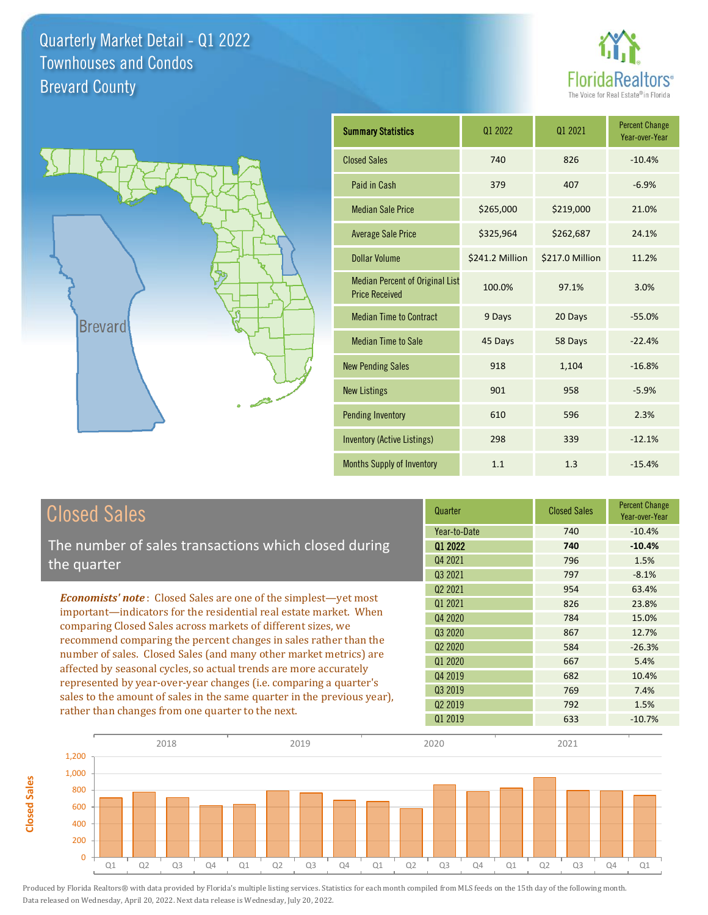



**Closed Sales**

**Closed Sales** 

| <b>Summary Statistics</b>                                       | 01 2022         | 01 2021         | <b>Percent Change</b><br>Year-over-Year |
|-----------------------------------------------------------------|-----------------|-----------------|-----------------------------------------|
| <b>Closed Sales</b>                                             | 740             | 826             | $-10.4%$                                |
| Paid in Cash                                                    | 379             | 407             | $-6.9%$                                 |
| <b>Median Sale Price</b>                                        | \$265,000       | \$219,000       | 21.0%                                   |
| <b>Average Sale Price</b>                                       | \$325,964       | \$262,687       | 24.1%                                   |
| <b>Dollar Volume</b>                                            | \$241.2 Million | \$217.0 Million | 11.2%                                   |
| <b>Median Percent of Original List</b><br><b>Price Received</b> | 100.0%          | 97.1%           | 3.0%                                    |
| <b>Median Time to Contract</b>                                  | 9 Days          | 20 Days         | $-55.0%$                                |
| <b>Median Time to Sale</b>                                      | 45 Days         | 58 Days         | $-22.4%$                                |
| <b>New Pending Sales</b>                                        | 918             | 1,104           | $-16.8%$                                |
| <b>New Listings</b>                                             | 901             | 958             | $-5.9%$                                 |
| <b>Pending Inventory</b>                                        | 610             | 596             | 2.3%                                    |
| Inventory (Active Listings)                                     | 298             | 339             | $-12.1%$                                |
| <b>Months Supply of Inventory</b>                               | 1.1             | 1.3             | $-15.4%$                                |

| <b>Closed Sales</b>                                                                                                                                                                                                                                                                                                                                                                                                                                                                                                                                                                                                                    | Quarter                                                                    | <b>Closed Sales</b>                    | <b>Percent Change</b><br>Year-over-Year               |
|----------------------------------------------------------------------------------------------------------------------------------------------------------------------------------------------------------------------------------------------------------------------------------------------------------------------------------------------------------------------------------------------------------------------------------------------------------------------------------------------------------------------------------------------------------------------------------------------------------------------------------------|----------------------------------------------------------------------------|----------------------------------------|-------------------------------------------------------|
| The number of sales transactions which closed during<br>the quarter                                                                                                                                                                                                                                                                                                                                                                                                                                                                                                                                                                    | Year-to-Date<br>01 2022<br>Q4 2021<br>Q3 2021                              | 740<br>740<br>796<br>797               | $-10.4%$<br>$-10.4%$<br>1.5%<br>$-8.1%$               |
| <b>Economists' note:</b> Closed Sales are one of the simplest-yet most<br>important-indicators for the residential real estate market. When<br>comparing Closed Sales across markets of different sizes, we<br>recommend comparing the percent changes in sales rather than the<br>number of sales. Closed Sales (and many other market metrics) are<br>affected by seasonal cycles, so actual trends are more accurately<br>represented by year-over-year changes ( <i>i.e.</i> comparing a quarter's<br>sales to the amount of sales in the same quarter in the previous year),<br>rather than changes from one quarter to the next. | Q <sub>2</sub> 2021<br>01 2021<br>Q4 2020<br>Q3 2020                       | 954<br>826<br>784<br>867               | 63.4%<br>23.8%<br>15.0%<br>12.7%                      |
|                                                                                                                                                                                                                                                                                                                                                                                                                                                                                                                                                                                                                                        | Q <sub>2</sub> 2020<br>Q1 2020<br>Q4 2019<br>Q3 2019<br>02 2019<br>Q1 2019 | 584<br>667<br>682<br>769<br>792<br>633 | $-26.3%$<br>5.4%<br>10.4%<br>7.4%<br>1.5%<br>$-10.7%$ |

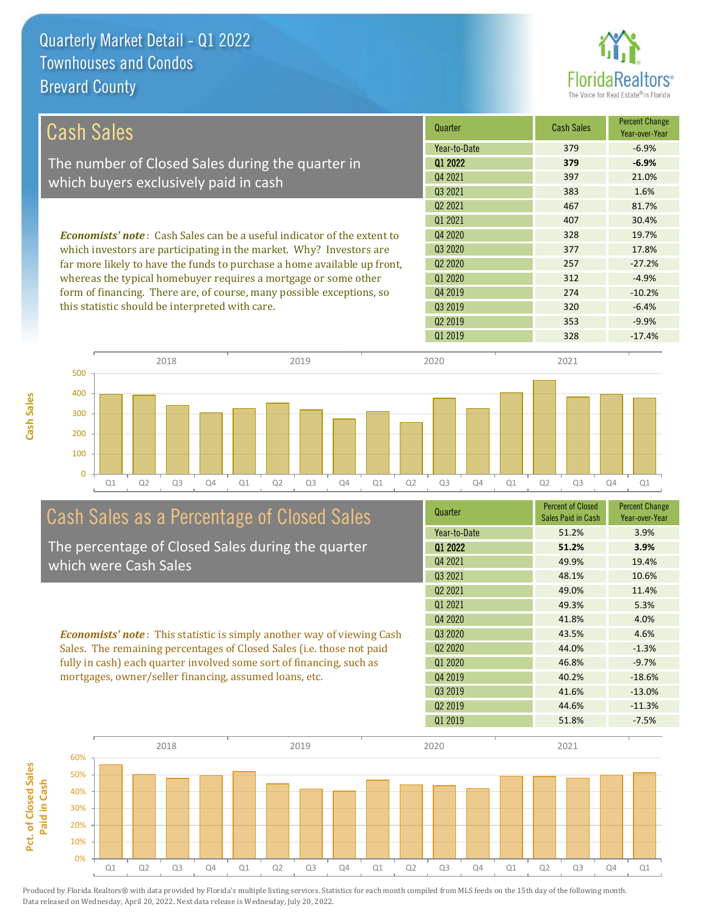**Cash Sales**



| <b>Cash Sales</b>                                                                                                        | Quarter             | <b>Cash Sales</b> | <b>Percent Change</b><br>Year-over-Year |
|--------------------------------------------------------------------------------------------------------------------------|---------------------|-------------------|-----------------------------------------|
|                                                                                                                          | Year-to-Date        | 379               | $-6.9%$                                 |
| The number of Closed Sales during the quarter in                                                                         | 01 2022             | 379               | $-6.9%$                                 |
| which buyers exclusively paid in cash                                                                                    | Q4 2021             | 397               | 21.0%                                   |
|                                                                                                                          | 03 2021             | 383               | 1.6%                                    |
|                                                                                                                          | 02 2021             | 467               | 81.7%                                   |
|                                                                                                                          | Q1 2021             | 407               | 30.4%                                   |
| <b>Economists' note:</b> Cash Sales can be a useful indicator of the extent to                                           | Q4 2020             | 328               | 19.7%                                   |
| which investors are participating in the market. Why? Investors are                                                      | Q3 2020             | 377               | 17.8%                                   |
| far more likely to have the funds to purchase a home available up front,                                                 | Q <sub>2</sub> 2020 | 257               | $-27.2%$                                |
| whereas the typical homebuyer requires a mortgage or some other                                                          | 01 2020             | 312               | $-4.9%$                                 |
| form of financing. There are, of course, many possible exceptions, so<br>this statistic should be interpreted with care. | Q4 2019             | 274               | $-10.2%$                                |
|                                                                                                                          | Q3 2019             | 320               | $-6.4%$                                 |
|                                                                                                                          | 02 2019             | 353               | $-9.9%$                                 |



# Cash Sales as a Percentage of Closed Sales

The percentage of Closed Sales during the quarter which were Cash Sales

*Economists' note* : This statistic is simply another way of viewing Cash Sales. The remaining percentages of Closed Sales (i.e. those not paid fully in cash) each quarter involved some sort of financing, such as mortgages, owner/seller financing, assumed loans, etc.



Q1 2019 328 -17.4%

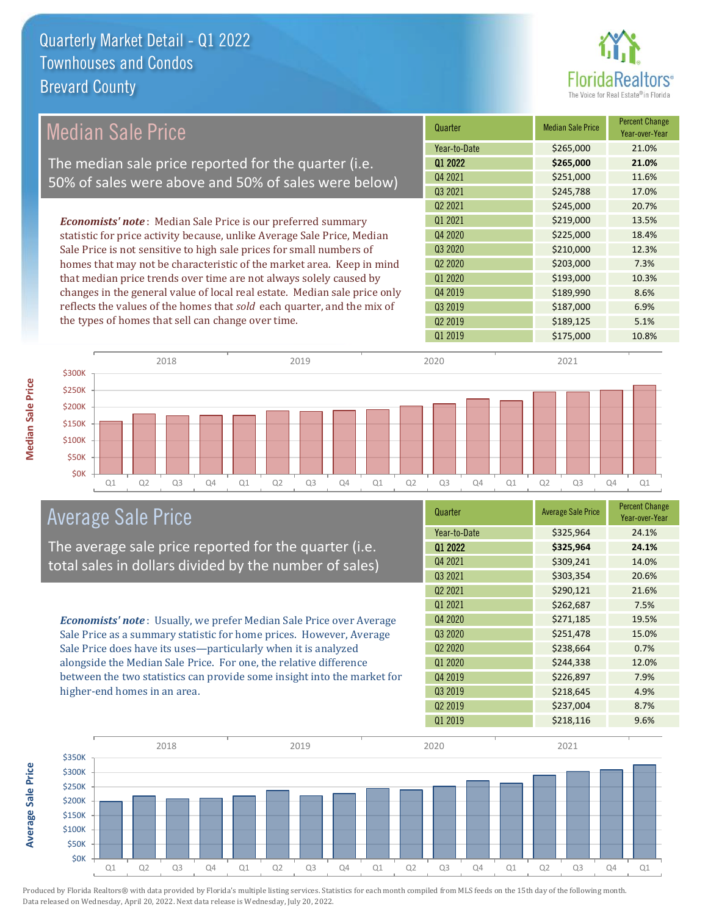

| Median Sale Price                                                         | Quarter             | <b>Median Sale Price</b> | <b>Percent Change</b><br>Year-over-Year |
|---------------------------------------------------------------------------|---------------------|--------------------------|-----------------------------------------|
|                                                                           | Year-to-Date        | \$265,000                | 21.0%                                   |
| The median sale price reported for the quarter (i.e.                      | Q1 2022             | \$265,000                | 21.0%                                   |
| 50% of sales were above and 50% of sales were below)                      | Q4 2021             | \$251,000                | 11.6%                                   |
|                                                                           | Q3 2021             | \$245,788                | 17.0%                                   |
|                                                                           | Q <sub>2</sub> 2021 | \$245,000                | 20.7%                                   |
| <b>Economists' note</b> : Median Sale Price is our preferred summary      | Q1 2021             | \$219,000                | 13.5%                                   |
| statistic for price activity because, unlike Average Sale Price, Median   | Q4 2020             | \$225,000                | 18.4%                                   |
| Sale Price is not sensitive to high sale prices for small numbers of      | Q3 2020             | \$210,000                | 12.3%                                   |
| homes that may not be characteristic of the market area. Keep in mind     | Q <sub>2</sub> 2020 | \$203,000                | 7.3%                                    |
| that median price trends over time are not always solely caused by        | Q1 2020             | \$193,000                | 10.3%                                   |
| changes in the general value of local real estate. Median sale price only | Q4 2019             | \$189,990                | 8.6%                                    |
| reflects the values of the homes that sold each quarter, and the mix of   | Q3 2019             | \$187,000                | 6.9%                                    |
| the types of homes that sell can change over time.                        | Q <sub>2</sub> 2019 | \$189,125                | 5.1%                                    |
|                                                                           | Q1 2019             | \$175,000                | 10.8%                                   |
| 2018<br>2019<br>$$300K$ $\tau$                                            | 2020                | 2021                     |                                         |



The average sale price reported for the quarter (i.e. total sales in dollars divided by the number of sales)

*Economists' note* : Usually, we prefer Median Sale Price over Average Sale Price as a summary statistic for home prices. However, Average Sale Price does have its uses—particularly when it is analyzed alongside the Median Sale Price. For one, the relative difference between the two statistics can provide some insight into the market for higher-end homes in an area.

| Quarter             | <b>Average Sale Price</b> | <b>Percent Change</b><br>Year-over-Year |
|---------------------|---------------------------|-----------------------------------------|
| Year-to-Date        | \$325,964                 | 24.1%                                   |
| Q1 2022             | \$325,964                 | 24.1%                                   |
| Q4 2021             | \$309,241                 | 14.0%                                   |
| Q3 2021             | \$303,354                 | 20.6%                                   |
| Q <sub>2</sub> 2021 | \$290,121                 | 21.6%                                   |
| 01 2021             | \$262,687                 | 7.5%                                    |
| Q4 2020             | \$271,185                 | 19.5%                                   |
| Q3 2020             | \$251,478                 | 15.0%                                   |
| Q <sub>2</sub> 2020 | \$238,664                 | 0.7%                                    |
| Q1 2020             | \$244,338                 | 12.0%                                   |
| Q4 2019             | \$226,897                 | 7.9%                                    |
| Q3 2019             | \$218,645                 | 4.9%                                    |
| Q <sub>2</sub> 2019 | \$237,004                 | 8.7%                                    |
| 01 2019             | \$218,116                 | 9.6%                                    |



\$0K \$50K \$100K \$150K \$200K \$250K

**Average Sale Price Average Sale Price**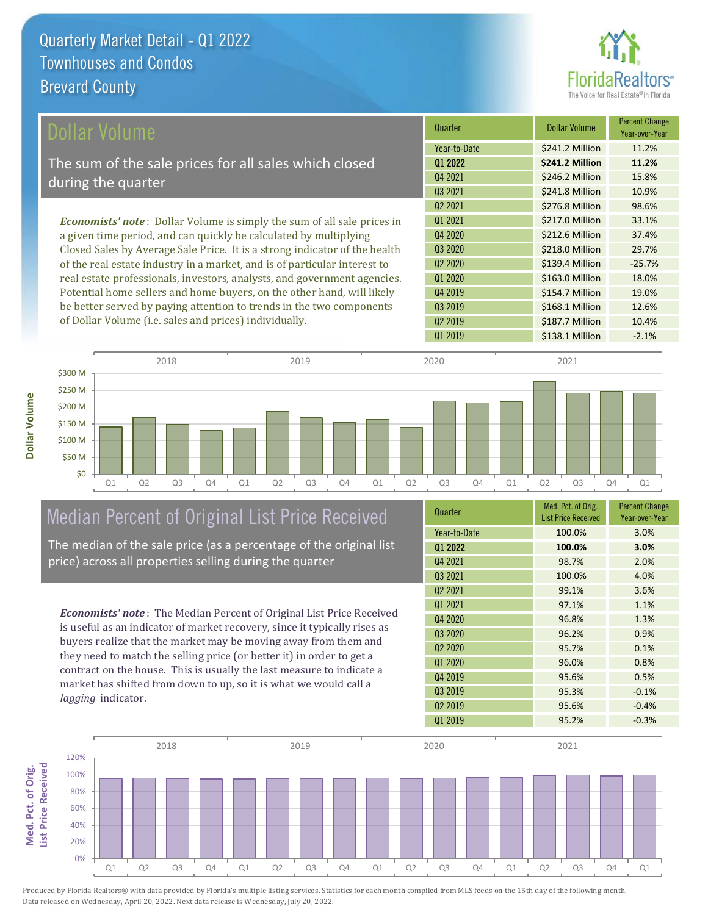

| Dollar Volume                                                                   | Quarter             | <b>Dollar Volume</b> | <b>Percent Change</b><br>Year-over-Year |
|---------------------------------------------------------------------------------|---------------------|----------------------|-----------------------------------------|
|                                                                                 | Year-to-Date        | \$241.2 Million      | 11.2%                                   |
| The sum of the sale prices for all sales which closed                           | 01 2022             | \$241.2 Million      | 11.2%                                   |
| during the quarter                                                              | Q4 2021             | \$246.2 Million      | 15.8%                                   |
|                                                                                 | Q3 2021             | \$241.8 Million      | 10.9%                                   |
|                                                                                 | Q <sub>2</sub> 2021 | \$276.8 Million      | 98.6%                                   |
| <b>Economists' note</b> : Dollar Volume is simply the sum of all sale prices in | 01 2021             | \$217.0 Million      | 33.1%                                   |
| a given time period, and can quickly be calculated by multiplying               | Q4 2020             | \$212.6 Million      | 37.4%                                   |
| Closed Sales by Average Sale Price. It is a strong indicator of the health      | Q3 2020             | \$218.0 Million      | 29.7%                                   |
| of the real estate industry in a market, and is of particular interest to       | Q <sub>2</sub> 2020 | \$139.4 Million      | $-25.7%$                                |
| real estate professionals, investors, analysts, and government agencies.        | Q1 2020             | \$163.0 Million      | 18.0%                                   |
| Potential home sellers and home buyers, on the other hand, will likely          | Q4 2019             | \$154.7 Million      | 19.0%                                   |
| be better served by paying attention to trends in the two components            | Q3 2019             | \$168.1 Million      | 12.6%                                   |



## Median Percent of Original List Price Received

of Dollar Volume (i.e. sales and prices) individually.

**Dollar Volume**

The median of the sale price (as a percentage of the original list price) across all properties selling during the quarter

*Economists' note* : The Median Percent of Original List Price Received is useful as an indicator of market recovery, since it typically rises as buyers realize that the market may be moving away from them and they need to match the selling price (or better it) in order to get a contract on the house. This is usually the last measure to indicate a market has shifted from down to up, so it is what we would call a *lagging* indicator.

| Quarter             | Med. Pct. of Orig.<br><b>List Price Received</b> | <b>Percent Change</b><br>Year-over-Year |
|---------------------|--------------------------------------------------|-----------------------------------------|
| Year-to-Date        | 100.0%                                           | 3.0%                                    |
| 01 2022             | 100.0%                                           | 3.0%                                    |
| Q4 2021             | 98.7%                                            | 2.0%                                    |
| Q3 2021             | 100.0%                                           | 4.0%                                    |
| Q <sub>2</sub> 2021 | 99.1%                                            | 3.6%                                    |
| 01 2021             | 97.1%                                            | 1.1%                                    |
| Q4 2020             | 96.8%                                            | 1.3%                                    |
| Q3 2020             | 96.2%                                            | 0.9%                                    |
| Q <sub>2</sub> 2020 | 95.7%                                            | 0.1%                                    |
| Q1 2020             | 96.0%                                            | 0.8%                                    |
| Q4 2019             | 95.6%                                            | 0.5%                                    |
| Q <sub>3</sub> 2019 | 95.3%                                            | $-0.1%$                                 |
| Q <sub>2</sub> 2019 | 95.6%                                            | $-0.4%$                                 |
| 01 2019             | 95.2%                                            | $-0.3%$                                 |

Q1 2019 **\$138.1 Million** -2.1%

Q2 2019 \$187.7 Million 10.4%

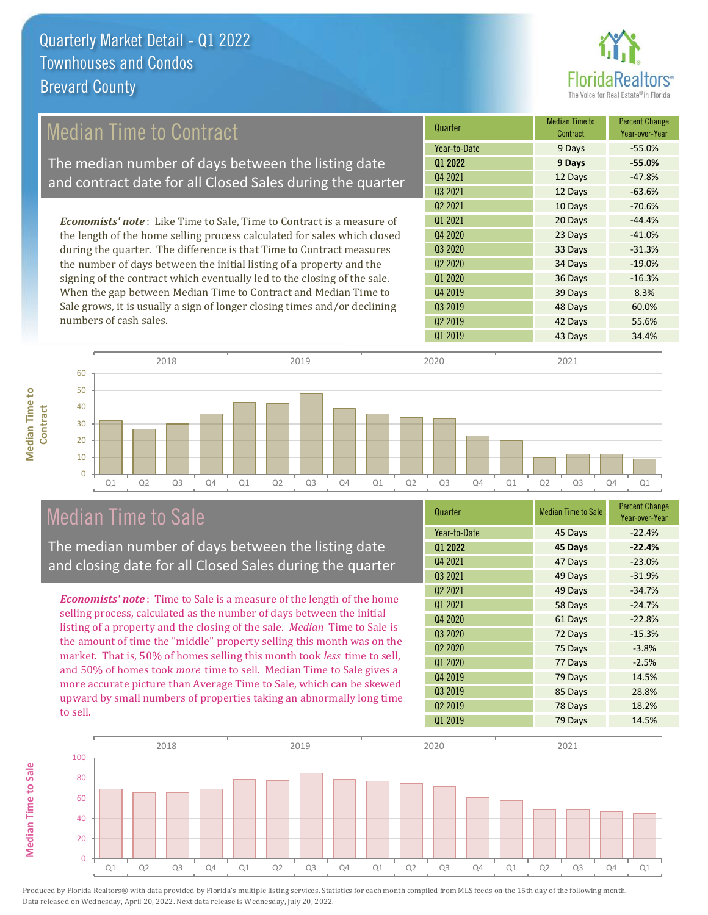

#### 12 Days -63.6% Q2 2021 10 Days -70.6% Q1 2020 36 Days -16.3% **Quarter Median Time to All According to All According Median Time to All According to All According to All According to All According to All According to All According to All According to All According to All According to Contract** Percent Change Year-over-Year Q1 2022 **9 Days -55.0%** Year-to-Date 9 Days -55.0% Q4 2021 12 Days -47.8% Q3 2021 Q3 2020 33 Days -31.3% Q2 2020 34 Days -19.0% Q1 2021 20 Days -44.4% Q4 2020 23 Days -41.0% 39 Days 8.3% Q3 2019 48 Days 60.0% Q4 2019 Q2 2019 **42 Days** 55.6% Q1 2019 **43 Days** 34.4% *Economists' note* : Like Time to Sale, Time to Contract is a measure of the length of the home selling process calculated for sales which closed during the quarter. The difference is that Time to Contract measures the number of days between the initial listing of a property and the signing of the contract which eventually led to the closing of the sale. When the gap between Median Time to Contract and Median Time to Sale grows, it is usually a sign of longer closing times and/or declining numbers of cash sales. 50 60 2018 2019 2020 2021 Median Time to Contract The median number of days between the listing date and contract date for all Closed Sales during the quarter

Q1 Q2 Q3 Q4 Q1 Q2 Q3 Q4 Q1 Q2 Q3 Q4 Q1 Q2 Q3 Q4 Q1

# Median Time to Sale

**Median Time to Contract**

**Median Time to** 

The median number of days between the listing date and closing date for all Closed Sales during the quarter

*Economists' note* : Time to Sale is a measure of the length of the home selling process, calculated as the number of days between the initial listing of a property and the closing of the sale. *Median* Time to Sale is the amount of time the "middle" property selling this month was on the market. That is, 50% of homes selling this month took *less* time to sell, and 50% of homes took *more* time to sell. Median Time to Sale gives a more accurate picture than Average Time to Sale, which can be skewed upward by small numbers of properties taking an abnormally long time to sell.

| Quarter             | <b>Median Time to Sale</b> | <b>Percent Change</b><br>Year-over-Year |
|---------------------|----------------------------|-----------------------------------------|
| Year-to-Date        | 45 Days                    | $-22.4%$                                |
| Q1 2022             | 45 Days                    | $-22.4%$                                |
| Q4 2021             | 47 Days                    | $-23.0%$                                |
| Q3 2021             | 49 Days                    | $-31.9%$                                |
| Q <sub>2</sub> 2021 | 49 Days                    | $-34.7%$                                |
| 01 2021             | 58 Days                    | $-24.7%$                                |
| Q4 2020             | 61 Days                    | $-22.8%$                                |
| Q <sub>3</sub> 2020 | 72 Days                    | $-15.3%$                                |
| Q <sub>2</sub> 2020 | 75 Days                    | $-3.8%$                                 |
| Q1 2020             | 77 Days                    | $-2.5%$                                 |
| Q4 2019             | 79 Days                    | 14.5%                                   |
| Q3 2019             | 85 Days                    | 28.8%                                   |
| Q <sub>2</sub> 2019 | 78 Days                    | 18.2%                                   |
| 01 2019             | 79 Days                    | 14.5%                                   |

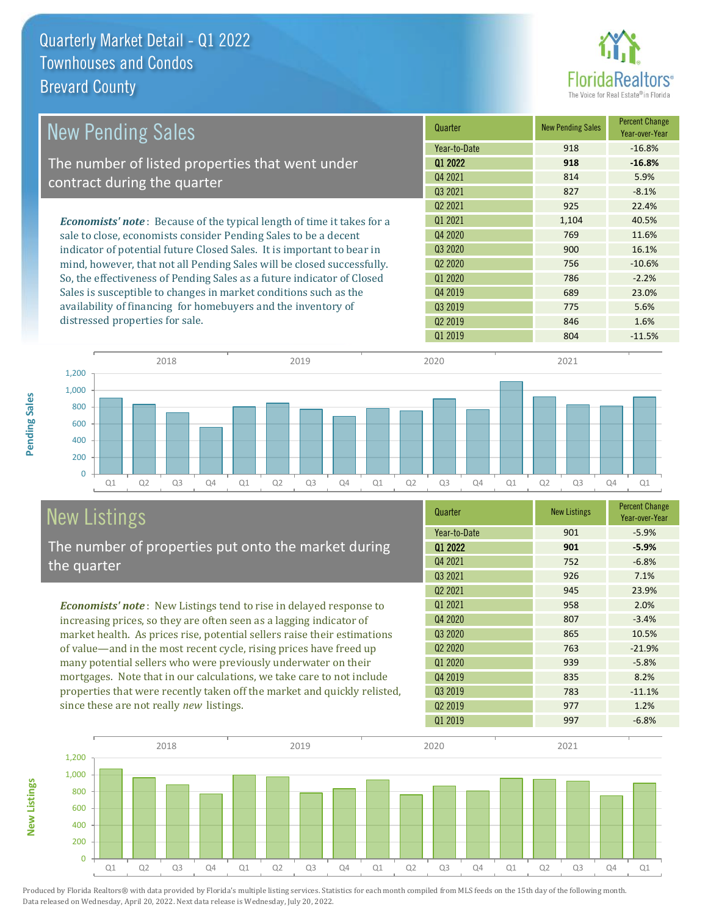

| <b>New Pending Sales</b>                                                      | Quarter             | <b>New Pending Sales</b> | <b>Percent Change</b><br>Year-over-Year |
|-------------------------------------------------------------------------------|---------------------|--------------------------|-----------------------------------------|
|                                                                               | Year-to-Date        | 918                      | $-16.8%$                                |
| The number of listed properties that went under                               | 01 2022             | 918                      | $-16.8%$                                |
| contract during the quarter                                                   | Q4 2021             | 814                      | 5.9%                                    |
|                                                                               | Q3 2021             | 827                      | $-8.1%$                                 |
|                                                                               | Q <sub>2</sub> 2021 | 925                      | 22.4%                                   |
| <b>Economists' note:</b> Because of the typical length of time it takes for a | Q1 2021             | 1,104                    | 40.5%                                   |
| sale to close, economists consider Pending Sales to be a decent               | Q4 2020             | 769                      | 11.6%                                   |
| indicator of potential future Closed Sales. It is important to bear in        | Q3 2020             | 900                      | 16.1%                                   |
| mind, however, that not all Pending Sales will be closed successfully.        | Q <sub>2</sub> 2020 | 756                      | $-10.6%$                                |
| So, the effectiveness of Pending Sales as a future indicator of Closed        | Q1 2020             | 786                      | $-2.2%$                                 |
| Sales is susceptible to changes in market conditions such as the              | Q4 2019             | 689                      | 23.0%                                   |
| availability of financing for homebuyers and the inventory of                 | Q3 2019             | 775                      | 5.6%                                    |
| distressed properties for sale.                                               | Q <sub>2</sub> 2019 | 846                      | 1.6%                                    |



# New Listings

**New Listings**

**Pending Sales**

Pending Sales

The number of properties put onto the market during the quarter

*Economists' note* : New Listings tend to rise in delayed response to increasing prices, so they are often seen as a lagging indicator of market health. As prices rise, potential sellers raise their estimations of value—and in the most recent cycle, rising prices have freed up many potential sellers who were previously underwater on their mortgages. Note that in our calculations, we take care to not include properties that were recently taken off the market and quickly relisted, since these are not really *new* listings.

| Quarter                         | <b>New Listings</b> | <b>Percent Change</b><br>Year-over-Year |
|---------------------------------|---------------------|-----------------------------------------|
| Year-to-Date                    | 901                 | $-5.9%$                                 |
| Q1 2022                         | 901                 | $-5.9%$                                 |
| Q4 2021                         | 752                 | $-6.8%$                                 |
| Q3 2021                         | 926                 | 7.1%                                    |
| Q <sub>2</sub> 2021             | 945                 | 23.9%                                   |
| 01 2021                         | 958                 | 2.0%                                    |
| Q4 2020                         | 807                 | $-3.4%$                                 |
| Q3 2020                         | 865                 | 10.5%                                   |
| Q <sub>2</sub> 20 <sub>20</sub> | 763                 | $-21.9%$                                |
| 01 2020                         | 939                 | $-5.8%$                                 |
| Q4 2019                         | 835                 | 8.2%                                    |
| Q3 2019                         | 783                 | $-11.1%$                                |
| Q <sub>2</sub> 2019             | 977                 | 1.2%                                    |
| 01 2019                         | 997                 | $-6.8%$                                 |

Q1 2019 804 -11.5%

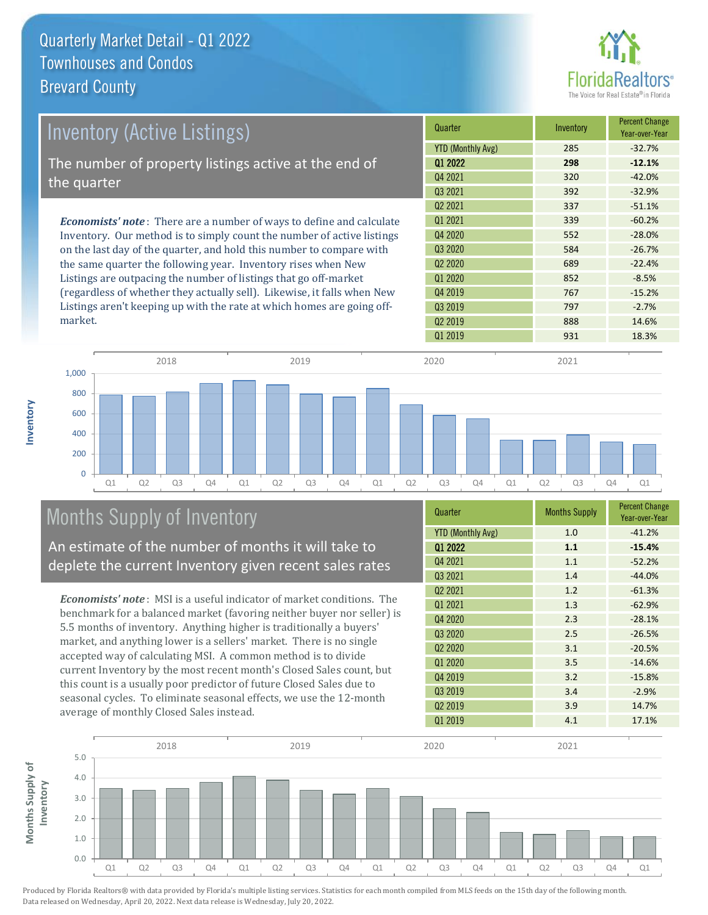

| <b>Inventory (Active Listings)</b>                                           | Quarter                  | Inventory | <b>Percent Change</b><br>Year-over-Year |
|------------------------------------------------------------------------------|--------------------------|-----------|-----------------------------------------|
|                                                                              | <b>YTD (Monthly Avg)</b> | 285       | $-32.7%$                                |
| The number of property listings active at the end of                         | 01 2022                  | 298       | $-12.1%$                                |
| the quarter                                                                  | 04 2021                  | 320       | $-42.0%$                                |
|                                                                              | 03 2021                  | 392       | $-32.9%$                                |
|                                                                              | Q <sub>2</sub> 2021      | 337       | $-51.1%$                                |
| <b>Economists' note</b> : There are a number of ways to define and calculate | 01 2021                  | 339       | $-60.2%$                                |
| Inventory. Our method is to simply count the number of active listings       | 04 2020                  | 552       | $-28.0%$                                |
| on the last day of the quarter, and hold this number to compare with         | Q3 2020                  | 584       | $-26.7%$                                |
| the same quarter the following year. Inventory rises when New                | Q <sub>2</sub> 2020      | 689       | $-22.4%$                                |
| Listings are outpacing the number of listings that go off-market             | Q1 2020                  | 852       | $-8.5%$                                 |

(regardless of whether they actually sell). Likewise, it falls when New Listings aren't keeping up with the rate at which homes are going offmarket.

| <b>YTD (Monthly Avg)</b>        | 285 | $-32.7%$ |
|---------------------------------|-----|----------|
| Q1 2022                         | 298 | $-12.1%$ |
| Q4 2021                         | 320 | $-42.0%$ |
| 03 2021                         | 392 | $-32.9%$ |
| 02 2021                         | 337 | $-51.1%$ |
| 01 2021                         | 339 | $-60.2%$ |
| 04 2020                         | 552 | $-28.0%$ |
| 03 20 20                        | 584 | $-26.7%$ |
| Q <sub>2</sub> 20 <sub>20</sub> | 689 | $-22.4%$ |
| 01 2020                         | 852 | $-8.5%$  |
| Q4 2019                         | 767 | $-15.2%$ |
| Q3 2019                         | 797 | $-2.7%$  |
| Q <sub>2</sub> 2019             | 888 | 14.6%    |
| 01 2019                         | 931 | 18.3%    |



# Months Supply of Inventory

An estimate of the number of months it will take to deplete the current Inventory given recent sales rates

*Economists' note* : MSI is a useful indicator of market conditions. The benchmark for a balanced market (favoring neither buyer nor seller) is 5.5 months of inventory. Anything higher is traditionally a buyers' market, and anything lower is a sellers' market. There is no single accepted way of calculating MSI. A common method is to divide current Inventory by the most recent month's Closed Sales count, but this count is a usually poor predictor of future Closed Sales due to seasonal cycles. To eliminate seasonal effects, we use the 12-month average of monthly Closed Sales instead.

| Quarter                  | <b>Months Supply</b> | <b>Percent Change</b><br>Year-over-Year |  |
|--------------------------|----------------------|-----------------------------------------|--|
| <b>YTD (Monthly Avg)</b> | 1.0                  | $-41.2%$                                |  |
| Q1 2022                  | 1.1                  | $-15.4%$                                |  |
| Q4 2021                  | 1.1                  | $-52.2%$                                |  |
| Q3 2021                  | 1.4                  | $-44.0%$                                |  |
| Q <sub>2</sub> 2021      | 1.2                  | $-61.3%$                                |  |
| 01 2021                  | 1.3                  | $-62.9%$                                |  |
| Q4 2020                  | 2.3                  | $-28.1%$                                |  |
| Q3 2020                  | 2.5                  | $-26.5%$                                |  |
| Q <sub>2</sub> 2020      | 3.1                  | $-20.5%$                                |  |
| Q1 2020                  | 3.5                  | $-14.6%$                                |  |
| Q4 2019                  | 3.2                  | $-15.8%$                                |  |
| Q3 2019                  | 3.4                  | $-2.9%$                                 |  |
| Q <sub>2</sub> 2019      | 3.9                  | 14.7%                                   |  |
| 01 2019                  | 4.1                  | 17.1%                                   |  |

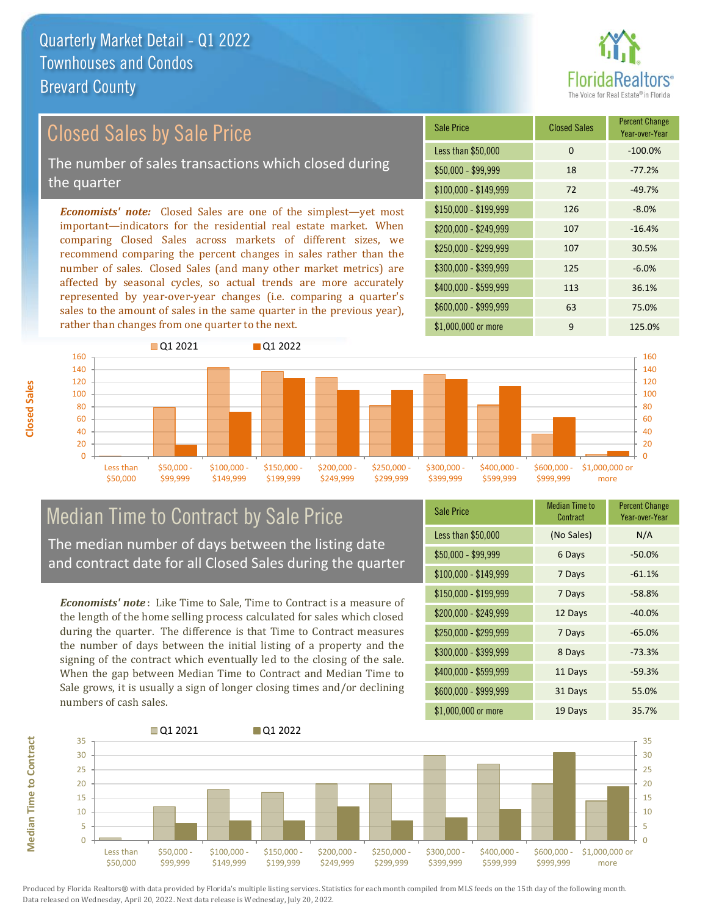

# Closed Sales by Sale Price

The number of sales transactions which closed during the quarter

*Economists' note:* Closed Sales are one of the simplest—yet most important—indicators for the residential real estate market. When comparing Closed Sales across markets of different sizes, we recommend comparing the percent changes in sales rather than the number of sales. Closed Sales (and many other market metrics) are affected by seasonal cycles, so actual trends are more accurately represented by year-over-year changes (i.e. comparing a quarter's sales to the amount of sales in the same quarter in the previous year), rather than changes from one quarter to the next.

| Sale Price            | <b>Closed Sales</b> | <b>Percent Change</b><br>Year-over-Year |
|-----------------------|---------------------|-----------------------------------------|
| Less than \$50,000    | 0                   | $-100.0%$                               |
| \$50,000 - \$99,999   | 18                  | $-77.2%$                                |
| $$100,000 - $149,999$ | 72                  | $-49.7%$                                |
| $$150,000 - $199,999$ | 126                 | $-8.0%$                                 |
| \$200,000 - \$249,999 | 107                 | $-16.4%$                                |
| \$250,000 - \$299,999 | 107                 | 30.5%                                   |
| \$300,000 - \$399,999 | 125                 | $-6.0%$                                 |
| \$400,000 - \$599,999 | 113                 | 36.1%                                   |
| \$600,000 - \$999,999 | 63                  | 75.0%                                   |
| \$1,000,000 or more   | 9                   | 125.0%                                  |



# Median Time to Contract by Sale Price

The median number of days between the listing date and contract date for all Closed Sales during the quarter

*Economists' note* : Like Time to Sale, Time to Contract is a measure of the length of the home selling process calculated for sales which closed during the quarter. The difference is that Time to Contract measures the number of days between the initial listing of a property and the signing of the contract which eventually led to the closing of the sale. When the gap between Median Time to Contract and Median Time to Sale grows, it is usually a sign of longer closing times and/or declining numbers of cash sales.

| <b>Sale Price</b>     | Median Time to<br>Contract | <b>Percent Change</b><br>Year-over-Year |
|-----------------------|----------------------------|-----------------------------------------|
| Less than \$50,000    | (No Sales)                 | N/A                                     |
| $$50,000 - $99,999$   | 6 Days                     | $-50.0%$                                |
| $$100,000 - $149,999$ | 7 Days                     | $-61.1%$                                |
| $$150,000 - $199,999$ | 7 Days                     | $-58.8%$                                |
| \$200,000 - \$249,999 | 12 Days                    | $-40.0%$                                |
| \$250,000 - \$299,999 | 7 Days                     | $-65.0%$                                |
| \$300,000 - \$399,999 | 8 Days                     | $-73.3%$                                |
| \$400,000 - \$599,999 | 11 Days                    | $-59.3%$                                |
| \$600,000 - \$999,999 | 31 Days                    | 55.0%                                   |
| \$1,000,000 or more   | 19 Days                    | 35.7%                                   |



Produced by Florida Realtors® with data provided by Florida's multiple listing services. Statistics for each month compiled from MLS feeds on the 15th day of the following month. Data released on Wednesday, April 20, 2022. Next data release is Wednesday, July 20, 2022.

**Median Time to Contract**

**Median Time to Contract**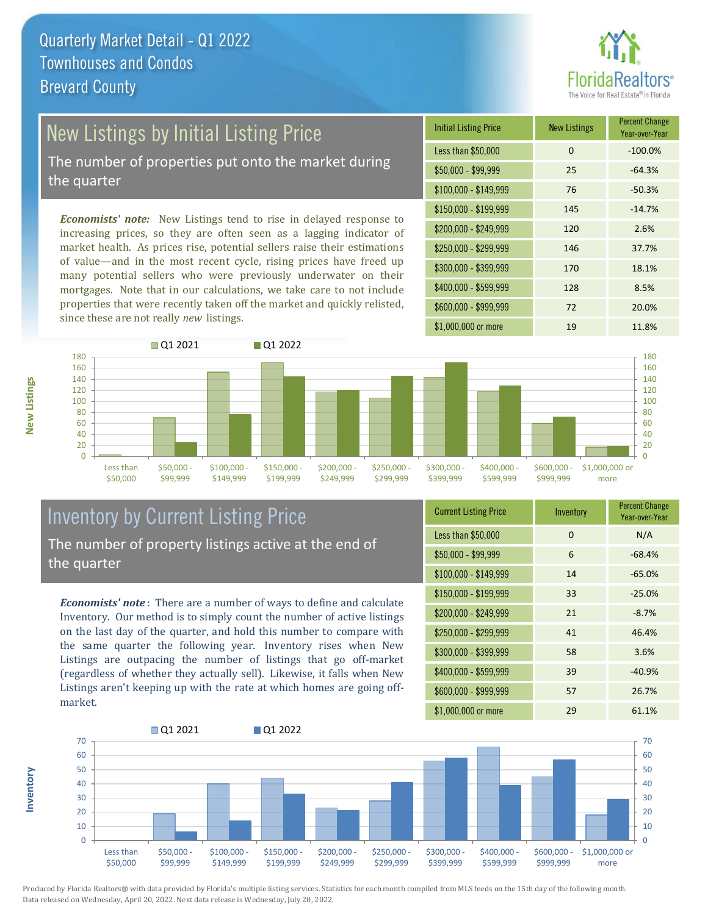

## New Listings by Initial Listing Price The number of properties put onto the market during

the quarter

*Economists' note:* New Listings tend to rise in delayed response to increasing prices, so they are often seen as a lagging indicator of market health. As prices rise, potential sellers raise their estimations of value—and in the most recent cycle, rising prices have freed up many potential sellers who were previously underwater on their mortgages. Note that in our calculations, we take care to not include properties that were recently taken off the market and quickly relisted, since these are not really *new* listings.

| <b>Initial Listing Price</b> | <b>New Listings</b> | <b>Percent Change</b><br>Year-over-Year |
|------------------------------|---------------------|-----------------------------------------|
| Less than \$50,000           | 0                   | $-100.0%$                               |
| \$50,000 - \$99,999          | 25                  | $-64.3%$                                |
| $$100,000 - $149,999$        | 76                  | $-50.3%$                                |
| $$150,000 - $199,999$        | 145                 | $-14.7%$                                |
| \$200,000 - \$249,999        | 120                 | 2.6%                                    |
| \$250,000 - \$299,999        | 146                 | 37.7%                                   |
| \$300,000 - \$399,999        | 170                 | 18.1%                                   |
| \$400,000 - \$599,999        | 128                 | 8.5%                                    |
| \$600,000 - \$999,999        | 72                  | 20.0%                                   |
| \$1,000,000 or more          | 19                  | 11.8%                                   |



### Inventory by Current Listing Price The number of property listings active at the end of the quarter

*Economists' note* : There are a number of ways to define and calculate Inventory. Our method is to simply count the number of active listings on the last day of the quarter, and hold this number to compare with the same quarter the following year. Inventory rises when New Listings are outpacing the number of listings that go off-market (regardless of whether they actually sell). Likewise, it falls when New Listings aren't keeping up with the rate at which homes are going offmarket.

| <b>Current Listing Price</b> | Inventory | <b>Percent Change</b><br>Year-over-Year |
|------------------------------|-----------|-----------------------------------------|
| Less than \$50,000           | $\Omega$  | N/A                                     |
| $$50,000 - $99,999$          | 6         | $-68.4%$                                |
| $$100,000 - $149,999$        | 14        | $-65.0%$                                |
| $$150,000 - $199,999$        | 33        | $-25.0%$                                |
| \$200,000 - \$249,999        | 21        | $-8.7%$                                 |
| \$250,000 - \$299,999        | 41        | 46.4%                                   |
| \$300,000 - \$399,999        | 58        | 3.6%                                    |
| \$400,000 - \$599,999        | 39        | $-40.9%$                                |
| \$600,000 - \$999,999        | 57        | 26.7%                                   |
| \$1,000,000 or more          | 29        | 61.1%                                   |



Produced by Florida Realtors® with data provided by Florida's multiple listing services. Statistics for each month compiled from MLS feeds on the 15th day of the following month. Data released on Wednesday, April 20, 2022. Next data release is Wednesday, July 20, 2022.

**Inventory**